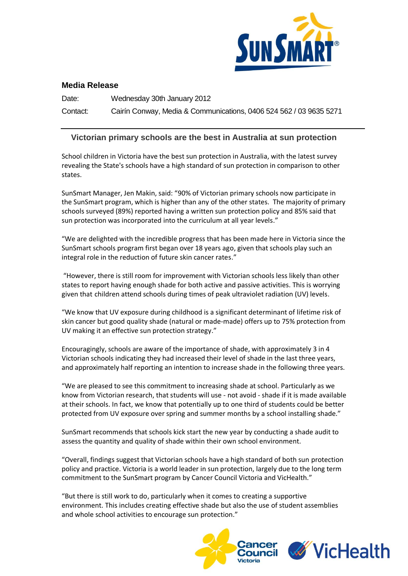

## **Media Release**

Date: Wednesday 30th January 2012 Contact: Cairín Conway, Media & Communications, 0406 524 562 / 03 9635 5271

## **Victorian primary schools are the best in Australia at sun protection**

School children in Victoria have the best sun protection in Australia, with the latest survey revealing the State's schools have a high standard of sun protection in comparison to other states.

SunSmart Manager, Jen Makin, said: "90% of Victorian primary schools now participate in the SunSmart program, which is higher than any of the other states. The majority of primary schools surveyed (89%) reported having a written sun protection policy and 85% said that sun protection was incorporated into the curriculum at all year levels."

"We are delighted with the incredible progress that has been made here in Victoria since the SunSmart schools program first began over 18 years ago, given that schools play such an integral role in the reduction of future skin cancer rates."

"However, there is still room for improvement with Victorian schools less likely than other states to report having enough shade for both active and passive activities. This is worrying given that children attend schools during times of peak ultraviolet radiation (UV) levels.

"We know that UV exposure during childhood is a significant determinant of lifetime risk of skin cancer but good quality shade (natural or made-made) offers up to 75% protection from UV making it an effective sun protection strategy."

Encouragingly, schools are aware of the importance of shade, with approximately 3 in 4 Victorian schools indicating they had increased their level of shade in the last three years, and approximately half reporting an intention to increase shade in the following three years.

"We are pleased to see this commitment to increasing shade at school. Particularly as we know from Victorian research, that students will use - not avoid - shade if it is made available at their schools. In fact, we know that potentially up to one third of students could be better protected from UV exposure over spring and summer months by a school installing shade."

SunSmart recommends that schools kick start the new year by conducting a shade audit to assess the quantity and quality of shade within their own school environment.

"Overall, findings suggest that Victorian schools have a high standard of both sun protection policy and practice. Victoria is a world leader in sun protection, largely due to the long term commitment to the SunSmart program by Cancer Council Victoria and VicHealth."

"But there is still work to do, particularly when it comes to creating a supportive environment. This includes creating effective shade but also the use of student assemblies and whole school activities to encourage sun protection."